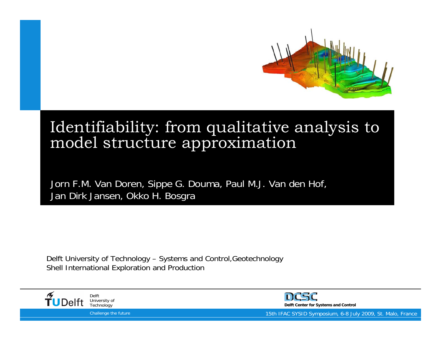

#### Identifiability: from qualitative analysis to model structure approximation

Jorn F.M. Van Doren, Sippe G. Douma, Paul M.J. Van den Hof, Jan Dirk Jansen, Okko H. Bosgra

Delft University of Technology – Systems and Control,Geotechnology Shell International Exploration and Production





15th IFAC SYSID Symposium, 6-8 July 2009, St. Malo, France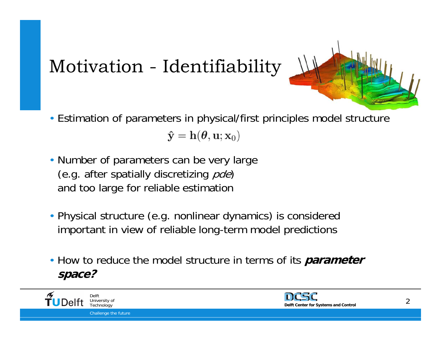# Motivation - Identifiability

- Estimation of parameters in physical/first principles model structure  $\mathbf{\hat{y}} = \mathbf{h}(\boldsymbol{\theta}, \mathbf{u}; \mathbf{x}_0)$
- and  $t$ • Number of parameters can be very large (e.g. after spatially discretizing *pde*) and too large for reliable estimation
- Physical structure (e.g. nonlinear dynamics) is considered important in view of reliable long-term model predictions
- How to reduce the model structure in terms of its **parameter space?**



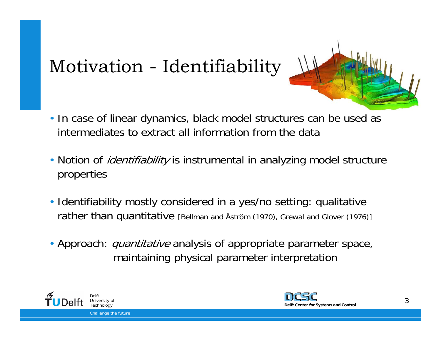# Motivation - Identifiability

- In case of linear dynamics, black model structures can be used as intermediates to extract all information from the data
- Notion of *identifiability* is instrumental in analyzing model structure properties
- Identifiability mostly considered in a yes/no setting: qualitative rather than quantitative [Bellman and Åström (1970), Grewal and Glover (1976)]
- Approach: *quantitative* analysis of appropriate parameter space, maintaining physical parameter interpretation



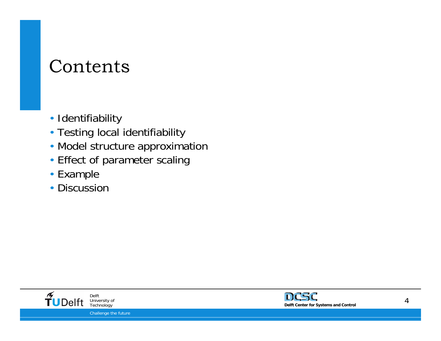### Contents

- Identifiability
- Testing local identifiability
- Model structure approximation
- Effect of parameter scaling
- Example
- Discussion



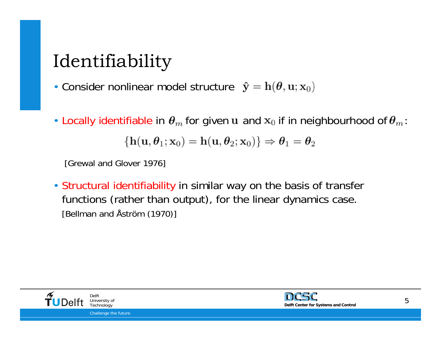# Identifiability

• Consider nonlinear model structure

• Locally identifiable in  $\theta_m$  for given u and  $x_0$  if in neighbourhood of  $\theta_m$ :

$$
\left\{{\mathbf h}({\mathbf u},{\boldsymbol \theta}_1;{\mathbf x}_0)={\mathbf h}({\mathbf u},{\boldsymbol \theta}_2;{\mathbf x}_0)\right\}\Rightarrow{\boldsymbol \theta}_1={\boldsymbol \theta}_2
$$

[Grewal and Glover 1976]

• Structural identifiability in similar way on the basis of transfer functions (rather than output), for the linear dynamics case. [Bellman and Åström (1970)]



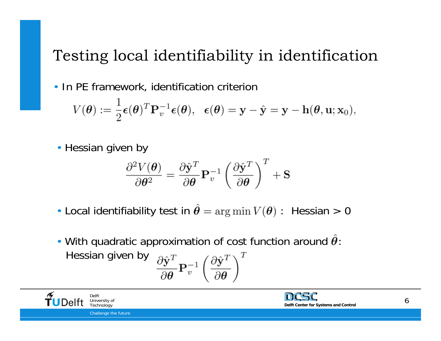#### Testing local identifiability in identification

• In PE framework, identification criterion

$$
V(\boldsymbol{\theta}) := \frac{1}{2} \boldsymbol{\epsilon}(\boldsymbol{\theta})^T \mathbf{P}_v^{-1} \boldsymbol{\epsilon}(\boldsymbol{\theta}), \ \ \boldsymbol{\epsilon}(\boldsymbol{\theta}) = \mathbf{y} - \hat{\mathbf{y}} = \mathbf{y} - \mathbf{h}(\boldsymbol{\theta}, \mathbf{u}; \mathbf{x}_0),
$$

• Hessian given by

$$
\frac{\partial^2 V(\boldsymbol{\theta})}{\partial \boldsymbol{\theta}^2} = \frac{\partial \hat{\textbf{y}}^T}{\partial \boldsymbol{\theta}} \mathbf{P}_v^{-1} \left( \frac{\partial \hat{\textbf{y}}^T}{\partial \boldsymbol{\theta}} \right)^T + \mathbf{S}
$$

- Local identifiability test in  $\hat{\theta} = \arg \min V(\theta)$ : Hessian > 0
- With quadratic approximation of cost function around  $\hat{\theta}$ : Hessian given by  $\frac{\partial \hat{\textbf{y}}^T}{\partial \boldsymbol{\theta}} \mathbf{P}_v^{-1} \left( \frac{\partial \hat{\textbf{y}}^T}{\partial \boldsymbol{\theta}} \right)^T$



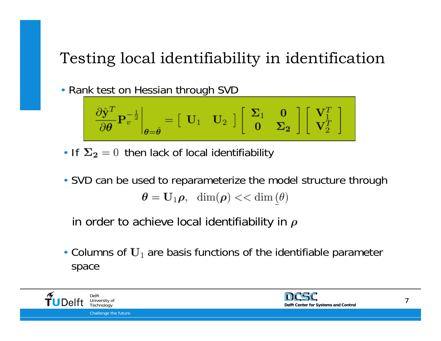#### Testing local identifiability in identification

• Rank test on Hessian through SVD

$$
\left.\frac{\partial \hat{\mathbf{y}}^T}{\partial \boldsymbol{\theta}} \mathbf{P}_v^{-\frac{1}{2}}\right|_{\boldsymbol{\theta}=\hat{\boldsymbol{\theta}}} = \left[\begin{array}{cc} \mathbf{U}_1 & \mathbf{U}_2 \end{array}\right] \left[\begin{array}{cc} \boldsymbol{\Sigma}_1 & \mathbf{0} \\ \mathbf{0} & \boldsymbol{\Sigma}_2 \end{array}\right] \left[\begin{array}{c} \mathbf{V}_1^T \\ \mathbf{V}_2^T \end{array}\right]
$$

- If  $\Sigma_2 = 0$  then lack of local identifiability
- SVD can be used to reparameterize the model structure through  $\theta = \mathbf{U}_1 \rho$ , dim $(\rho) <<$ dim $(\theta)$

in order to achieve local identifiability in  $\rho$ 

• Columns of  $U_1$  are basis functions of the identifiable parameter space



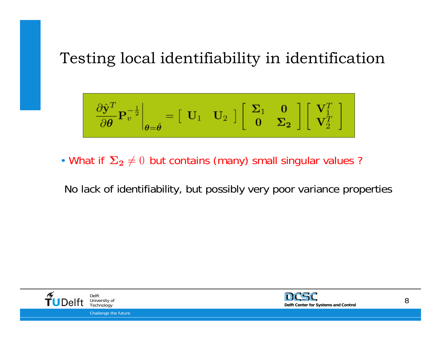#### Testing local identifiability in identification

$$
\left.\frac{\partial \hat{\mathbf{y}}^T}{\partial \theta} \mathbf{P}_v^{-\frac{1}{2}}\right|_{\theta = \hat{\theta}} = \begin{bmatrix} \mathbf{U}_1 & \mathbf{U}_2 \end{bmatrix} \begin{bmatrix} \mathbf{\Sigma}_1 & \mathbf{0} \\ \mathbf{0} & \mathbf{\Sigma}_2 \end{bmatrix} \begin{bmatrix} \mathbf{V}_1^T \\ \mathbf{V}_2^T \end{bmatrix}
$$

• What if  $\Sigma_2 \neq 0$  but contains (many) small singular values ?

No lack of identifiability, but possibly very poor variance properties



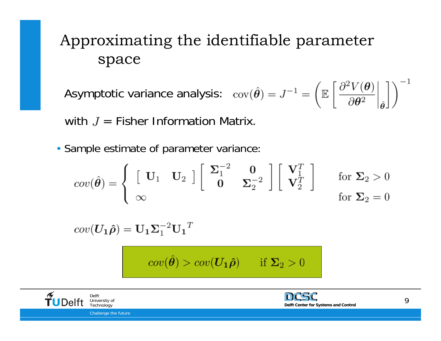#### Approximating the identifiable parameter space

Asymptotic variance analysis:  $\operatorname{cov}(\hat{\theta}) = J^{-1} = \left( \mathbb{E} \left[ \left. \frac{\partial^2 V(\theta)}{\partial \theta^2} \right|_{\hat{\theta}} \right] \right)^{-1}$ 

with  $J =$  Fisher Information Matrix.

• Sample estimate of parameter variance:

$$
cov(\hat{\theta}) = \begin{cases} \begin{bmatrix} \mathbf{U}_1 & \mathbf{U}_2 \end{bmatrix} \begin{bmatrix} \boldsymbol{\Sigma}_1^{-2} & \mathbf{0} \\ \mathbf{0} & \boldsymbol{\Sigma}_2^{-2} \end{bmatrix} \begin{bmatrix} \mathbf{V}_1^T \\ \mathbf{V}_2^T \end{bmatrix} & \text{for } \boldsymbol{\Sigma}_2 > 0 \\ \text{for } \boldsymbol{\Sigma}_2 = 0 \end{cases}
$$

 $cov(\boldsymbol{U_1\hat{\rho}})=\mathbf{U_1}\boldsymbol{\Sigma}_1^{-2}\mathbf{U_1}^T$ 

 $cov(\hat{\theta}) > cov(\mathbf{U}_1 \hat{\rho})$  if  $\Sigma_2 > 0$ 



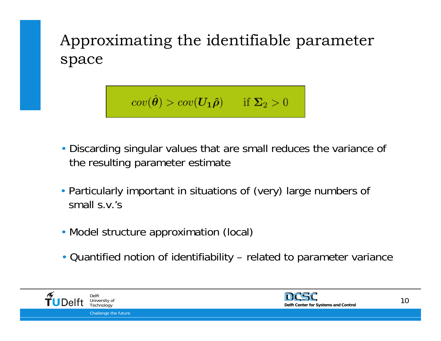Approximating the identifiable parameter space

$$
cov(\hat{\boldsymbol{\theta}}) > cov(\boldsymbol{U_1\hat{\rho}}) \qquad \text{if $\boldsymbol{\Sigma}_2 > 0$}
$$

- Discarding singular values that are small reduces the variance of the resulting parameter estimate
- Particularly important in situations of (very) large numbers of small s.v.'s
	- Model structure approximation (local)
	- Quantified notion of identifiability related to parameter variance



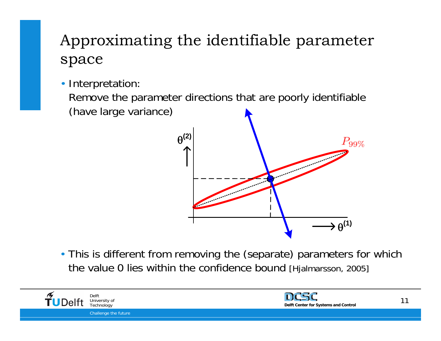#### Approximating the identifiable parameter space

• Interpretation:

Remove the parameter directions that are poorly identifiable (have large variance)



• This is different from removing the (separate) parameters for which the value 0 lies within the confidence bound [Hjalmarsson, 2005]



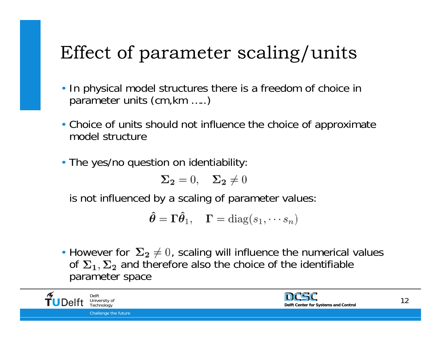# Effect of parameter scaling/units

- In physical model structures there is a freedom of choice in parameter units (cm,km …..)
- Choice of units should not influence the choice of approximate model structure
- The yes/no question on identiability:

$$
\Sigma_2 = 0, \quad \Sigma_2 \neq 0
$$

is not influenced by a scaling of parameter values:

$$
\hat{\boldsymbol{\theta}} = \boldsymbol{\Gamma} \hat{\boldsymbol{\theta}}_1, \quad \boldsymbol{\Gamma} = \text{diag}(s_1, \cdots s_n)
$$

• However for  $\Sigma_2 \neq 0$ , scaling will influence the numerical values of  $\Sigma_1$ ,  $\Sigma_2$  and therefore also the choice of the identifiable parameter space

Challenge the future DelftUniversity of

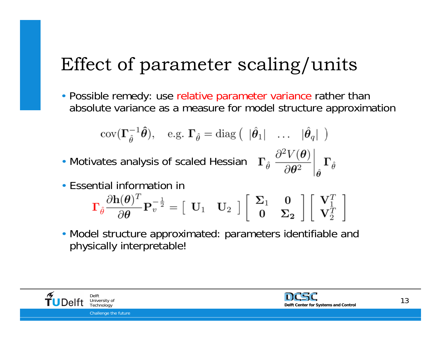## Effect of parameter scaling/units

• Possible remedy: use relative parameter variance rather than absolute variance as a measure for model structure approximation

$$
cov(\mathbf{\Gamma}_{\hat{\theta}}^{-1}\hat{\boldsymbol{\theta}}), \quad e.g. \; \mathbf{\Gamma}_{\hat{\theta}} = diag\left( \begin{array}{ccc} |\hat{\boldsymbol{\theta}}_1| & \dots & |\hat{\boldsymbol{\theta}}_q| \end{array} \right)
$$

• Motivates analysis of scaled Hessian

$$
\left. \boldsymbol{\Gamma_{\hat{\theta}}} \ \frac{\partial^2 V(\boldsymbol{\theta})}{\partial \boldsymbol{\theta}^2} \right|_{\hat{\boldsymbol{\theta}}} \boldsymbol{\Gamma_{\hat{\theta}}} \nonumber \\
$$

• Essential information in

$$
\boldsymbol{\Gamma}_{\hat{\theta}} \frac{\partial \mathbf{h}(\theta)^T}{\partial \theta} \mathbf{P}_{v}^{-\frac{1}{2}} = \left[ \begin{array}{cc} \mathbf{U}_1 & \mathbf{U}_2 \end{array} \right] \left[ \begin{array}{cc} \boldsymbol{\Sigma}_1 & \mathbf{0} \\ \mathbf{0} & \boldsymbol{\Sigma}_2 \end{array} \right] \left[ \begin{array}{c} \mathbf{V}_1^T \\ \mathbf{V}_2^T \end{array} \right]
$$

• Model structure approximated: parameters identifiable and physically interpretable!



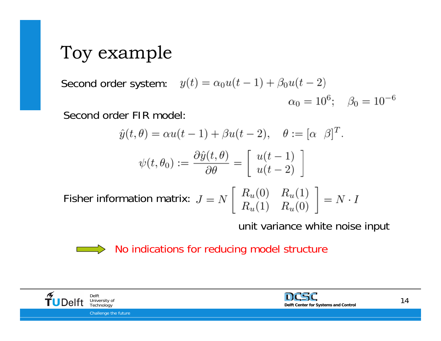## Toy example

Second order system:  $y(t) = \alpha_0 u(t-1) + \beta_0 u(t-2)$  $\alpha_0 = 10^6$ ;  $\beta_0 = 10^{-6}$ 

Second order FIR model:

$$
\hat{y}(t,\theta) = \alpha u(t-1) + \beta u(t-2), \quad \theta := [\alpha \ \beta]^T.
$$

$$
\psi(t,\theta_0) := \frac{\partial \hat{y}(t,\theta)}{\partial \theta} = \begin{bmatrix} u(t-1) \\ u(t-2) \end{bmatrix}
$$

Fisher information matrix:

unit variance white noise input

 $\Rightarrow$  No indications for reducing model structure



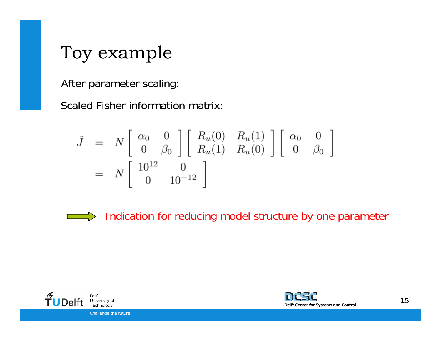## Toy example

After parameter scaling:

Scaled Fisher information matrix:

$$
\tilde{J} = N \begin{bmatrix} \alpha_0 & 0 \\ 0 & \beta_0 \end{bmatrix} \begin{bmatrix} R_u(0) & R_u(1) \\ R_u(1) & R_u(0) \end{bmatrix} \begin{bmatrix} \alpha_0 & 0 \\ 0 & \beta_0 \end{bmatrix}
$$
  
=  $N \begin{bmatrix} 10^{12} & 0 \\ 0 & 10^{-12} \end{bmatrix}$ 

 $\qquad \qquad \Longrightarrow$ 

Indication for reducing model structure by one parameter



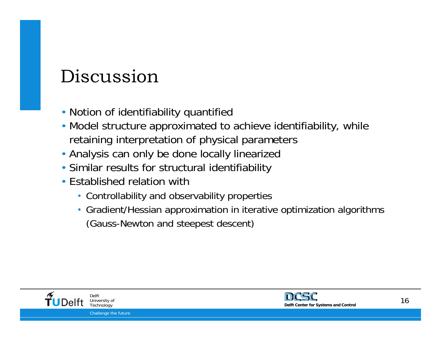## Discussion

- Notion of identifiability quantified
- Model structure approximated to achieve identifiability, while retaining interpretation of physical parameters
- Analysis can only be done locally linearized
- Similar results for structural identifiability
- Established relation with
	- Controllability and observability properties
	- Gradient/Hessian approximation in iterative optimization algorithms (Gauss-Newton and steepest descent)